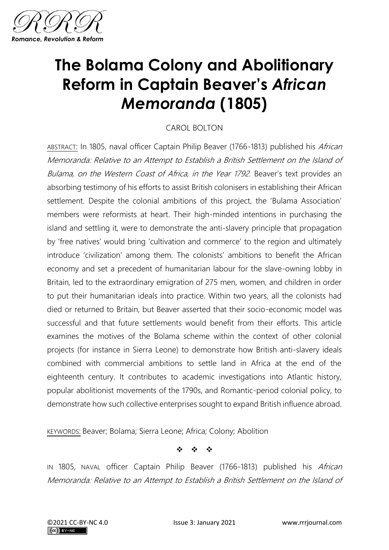

## **The Bolama Colony and Abolitionary Reform in Captain Beaver's** *African Memoranda* **(1805)**

## CAROL BOLTON

ABSTRACT: In 1805, naval officer Captain Philip Beaver (1766-1813) published his African Memoranda: Relative to an Attempt to Establish a British Settlement on the Island of Bulama, on the Western Coast of Africa, in the Year 1792. Beaver's text provides an absorbing testimony of his efforts to assist British colonisers in establishing their African settlement. Despite the colonial ambitions of this project, the 'Bulama Association' members were reformists at heart. Their high-minded intentions in purchasing the island and settling it, were to demonstrate the anti-slavery principle that propagation by 'free natives' would bring 'cultivation and commerce' to the region and ultimately introduce 'civilization' among them. The colonists' ambitions to benefit the African economy and set a precedent of humanitarian labour for the slave-owning lobby in Britain, led to the extraordinary emigration of 275 men, women, and children in order to put their humanitarian ideals into practice. Within two years, all the colonists had died or returned to Britain, but Beaver asserted that their socio-economic model was successful and that future settlements would benefit from their efforts. This article examines the motives of the Bolama scheme within the context of other colonial projects (for instance in Sierra Leone) to demonstrate how British anti-slavery ideals combined with commercial ambitions to settle land in Africa at the end of the eighteenth century. It contributes to academic investigations into Atlantic history, popular abolitionist movements of the 1790s, and Romantic-period colonial policy, to demonstrate how such collective enterprises sought to expand British influence abroad.

KEYWORDS: Beaver; Bolama; Sierra Leone; Africa; Colony; Abolition

❖ ❖ ❖

IN 1805, NAVAL officer Captain Philip Beaver (1766-1813) published his African Memoranda: Relative to an Attempt to Establish a British Settlement on the Island of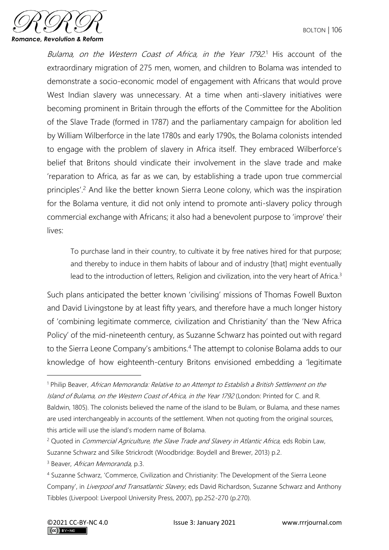

Bulama, on the Western Coast of Africa, in the Year 1792.<sup>1</sup> His account of the extraordinary migration of 275 men, women, and children to Bolama was intended to demonstrate a socio-economic model of engagement with Africans that would prove West Indian slavery was unnecessary. At a time when anti-slavery initiatives were becoming prominent in Britain through the efforts of the Committee for the Abolition of the Slave Trade (formed in 1787) and the parliamentary campaign for abolition led by William Wilberforce in the late 1780s and early 1790s, the Bolama colonists intended to engage with the problem of slavery in Africa itself. They embraced Wilberforce's belief that Britons should vindicate their involvement in the slave trade and make 'reparation to Africa, as far as we can, by establishing a trade upon true commercial principles'.<sup>2</sup> And like the better known Sierra Leone colony, which was the inspiration for the Bolama venture, it did not only intend to promote anti-slavery policy through commercial exchange with Africans; it also had a benevolent purpose to 'improve' their lives:

To purchase land in their country, to cultivate it by free natives hired for that purpose; and thereby to induce in them habits of labour and of industry [that] might eventually lead to the introduction of letters, Religion and civilization, into the very heart of Africa.<sup>3</sup>

Such plans anticipated the better known 'civilising' missions of Thomas Fowell Buxton and David Livingstone by at least fifty years, and therefore have a much longer history of 'combining legitimate commerce, civilization and Christianity' than the 'New Africa Policy' of the mid-nineteenth century, as Suzanne Schwarz has pointed out with regard to the Sierra Leone Company's ambitions.<sup>4</sup> The attempt to colonise Bolama adds to our knowledge of how eighteenth-century Britons envisioned embedding a 'legitimate

<sup>&</sup>lt;sup>1</sup> Philip Beaver, African Memoranda: Relative to an Attempt to Establish a British Settlement on the Island of Bulama, on the Western Coast of Africa, in the Year 1792 (London: Printed for C. and R. Baldwin, 1805). The colonists believed the name of the island to be Bulam, or Bulama, and these names are used interchangeably in accounts of the settlement. When not quoting from the original sources, this article will use the island's modern name of Bolama.

 $2$  Quoted in *Commercial Agriculture, the Slave Trade and Slavery in Atlantic Africa, eds Robin Law*, Suzanne Schwarz and Silke Strickrodt (Woodbridge: Boydell and Brewer, 2013) p.2.

<sup>&</sup>lt;sup>3</sup> Beaver, African Memoranda, p.3.

<sup>4</sup> Suzanne Schwarz, 'Commerce, Civilization and Christianity: The Development of the Sierra Leone Company', in Liverpool and Transatlantic Slavery, eds David Richardson, Suzanne Schwarz and Anthony Tibbles (Liverpool: Liverpool University Press, 2007), pp.252-270 (p.270).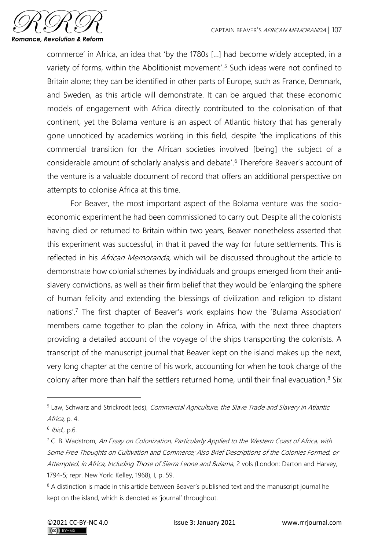

commerce' in Africa, an idea that 'by the 1780s […] had become widely accepted, in a variety of forms, within the Abolitionist movement'.<sup>5</sup> Such ideas were not confined to Britain alone; they can be identified in other parts of Europe, such as France, Denmark, and Sweden, as this article will demonstrate. It can be argued that these economic models of engagement with Africa directly contributed to the colonisation of that continent, yet the Bolama venture is an aspect of Atlantic history that has generally gone unnoticed by academics working in this field, despite 'the implications of this commercial transition for the African societies involved [being] the subject of a considerable amount of scholarly analysis and debate'.<sup>6</sup> Therefore Beaver's account of the venture is a valuable document of record that offers an additional perspective on attempts to colonise Africa at this time.

For Beaver, the most important aspect of the Bolama venture was the socioeconomic experiment he had been commissioned to carry out. Despite all the colonists having died or returned to Britain within two years, Beaver nonetheless asserted that this experiment was successful, in that it paved the way for future settlements. This is reflected in his African Memoranda, which will be discussed throughout the article to demonstrate how colonial schemes by individuals and groups emerged from their antislavery convictions, as well as their firm belief that they would be 'enlarging the sphere of human felicity and extending the blessings of civilization and religion to distant nations'.<sup>7</sup> The first chapter of Beaver's work explains how the 'Bulama Association' members came together to plan the colony in Africa, with the next three chapters providing a detailed account of the voyage of the ships transporting the colonists. A transcript of the manuscript journal that Beaver kept on the island makes up the next, very long chapter at the centre of his work, accounting for when he took charge of the colony after more than half the settlers returned home, until their final evacuation.<sup>8</sup> Six

<sup>&</sup>lt;sup>5</sup> Law, Schwarz and Strickrodt (eds), Commercial Agriculture, the Slave Trade and Slavery in Atlantic Africa, p. 4.

<sup>&</sup>lt;sup>6</sup> Ibid., p.6.

 $7$  C. B. Wadstrom, An Essay on Colonization, Particularly Applied to the Western Coast of Africa, with Some Free Thoughts on Cultivation and Commerce; Also Brief Descriptions of the Colonies Formed, or Attempted, in Africa, Including Those of Sierra Leone and Bulama, 2 vols (London: Darton and Harvey, 1794-5; repr. New York: Kelley, 1968), I, p. 59.

<sup>&</sup>lt;sup>8</sup> A distinction is made in this article between Beaver's published text and the manuscript journal he kept on the island, which is denoted as 'journal' throughout.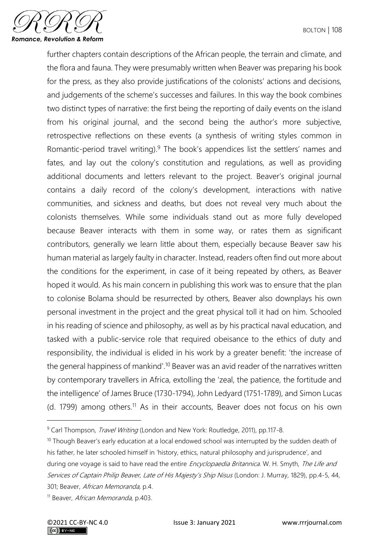

further chapters contain descriptions of the African people, the terrain and climate, and the flora and fauna. They were presumably written when Beaver was preparing his book for the press, as they also provide justifications of the colonists' actions and decisions, and judgements of the scheme's successes and failures. In this way the book combines two distinct types of narrative: the first being the reporting of daily events on the island from his original journal, and the second being the author's more subjective, retrospective reflections on these events (a synthesis of writing styles common in Romantic-period travel writing).<sup>9</sup> The book's appendices list the settlers' names and fates, and lay out the colony's constitution and regulations, as well as providing additional documents and letters relevant to the project. Beaver's original journal contains a daily record of the colony's development, interactions with native communities, and sickness and deaths, but does not reveal very much about the colonists themselves. While some individuals stand out as more fully developed because Beaver interacts with them in some way, or rates them as significant contributors, generally we learn little about them, especially because Beaver saw his human material as largely faulty in character. Instead, readers often find out more about the conditions for the experiment, in case of it being repeated by others, as Beaver hoped it would. As his main concern in publishing this work was to ensure that the plan to colonise Bolama should be resurrected by others, Beaver also downplays his own personal investment in the project and the great physical toll it had on him. Schooled in his reading of science and philosophy, as well as by his practical naval education, and tasked with a public-service role that required obeisance to the ethics of duty and responsibility, the individual is elided in his work by a greater benefit: 'the increase of the general happiness of mankind'.<sup>10</sup> Beaver was an avid reader of the narratives written by contemporary travellers in Africa, extolling the 'zeal, the patience, the fortitude and the intelligence' of James Bruce (1730-1794), John Ledyard (1751-1789), and Simon Lucas (d. 1799) among others.<sup>11</sup> As in their accounts, Beaver does not focus on his own

<sup>&</sup>lt;sup>9</sup> Carl Thompson, *Travel Writing* (London and New York: Routledge, 2011), pp.117-8.

 $10$  Though Beaver's early education at a local endowed school was interrupted by the sudden death of his father, he later schooled himself in 'history, ethics, natural philosophy and jurisprudence', and during one voyage is said to have read the entire *Encyclopaedia Britannica*. W. H. Smyth, The Life and Services of Captain Philip Beaver, Late of His Majesty's Ship Nisus (London: J. Murray, 1829), pp.4-5, 44, 301; Beaver, African Memoranda, p.4.

<sup>&</sup>lt;sup>11</sup> Beaver, African Memoranda, p.403.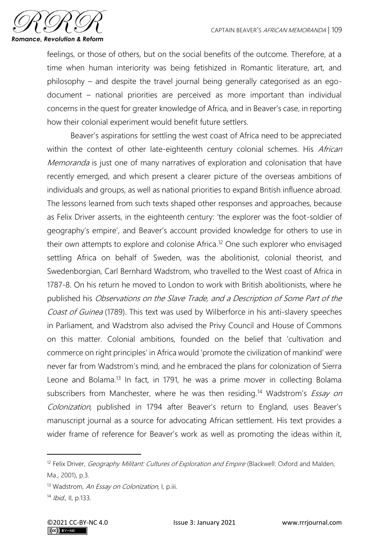

feelings, or those of others, but on the social benefits of the outcome. Therefore, at a time when human interiority was being fetishized in Romantic literature, art, and philosophy – and despite the travel journal being generally categorised as an egodocument – national priorities are perceived as more important than individual concerns in the quest for greater knowledge of Africa, and in Beaver's case, in reporting how their colonial experiment would benefit future settlers.

Beaver's aspirations for settling the west coast of Africa need to be appreciated within the context of other late-eighteenth century colonial schemes. His African Memoranda is just one of many narratives of exploration and colonisation that have recently emerged, and which present a clearer picture of the overseas ambitions of individuals and groups, as well as national priorities to expand British influence abroad. The lessons learned from such texts shaped other responses and approaches, because as Felix Driver asserts, in the eighteenth century: 'the explorer was the foot-soldier of geography's empire', and Beaver's account provided knowledge for others to use in their own attempts to explore and colonise Africa. <sup>12</sup> One such explorer who envisaged settling Africa on behalf of Sweden, was the abolitionist, colonial theorist, and Swedenborgian, Carl Bernhard Wadstrom, who travelled to the West coast of Africa in 1787-8. On his return he moved to London to work with British abolitionists, where he published his Observations on the Slave Trade, and a Description of Some Part of the Coast of Guinea (1789). This text was used by Wilberforce in his anti-slavery speeches in Parliament, and Wadstrom also advised the Privy Council and House of Commons on this matter. Colonial ambitions, founded on the belief that 'cultivation and commerce on right principles' in Africa would 'promote the civilization of mankind' were never far from Wadstrom's mind, and he embraced the plans for colonization of Sierra Leone and Bolama.<sup>13</sup> In fact, in 1791, he was a prime mover in collecting Bolama subscribers from Manchester, where he was then residing.<sup>14</sup> Wadstrom's *Essay on* Colonization, published in 1794 after Beaver's return to England, uses Beaver's manuscript journal as a source for advocating African settlement. His text provides a wider frame of reference for Beaver's work as well as promoting the ideas within it,

<sup>&</sup>lt;sup>12</sup> Felix Driver, *Geography Militant: Cultures of Exploration and Empire* (Blackwell: Oxford and Malden, Ma., 2001), p.3.

<sup>&</sup>lt;sup>13</sup> Wadstrom, An Essay on Colonization, I, p.iii.

<sup>14</sup> *Ibid.*, II, p.133.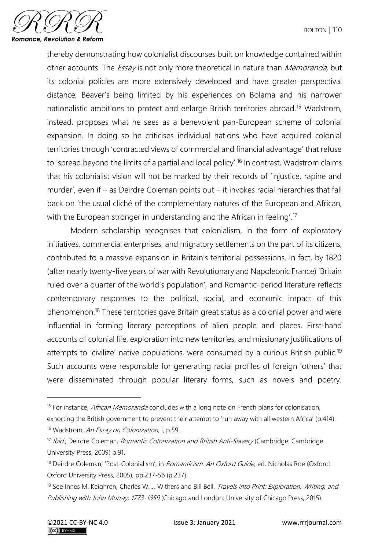

thereby demonstrating how colonialist discourses built on knowledge contained within other accounts. The *Essay* is not only more theoretical in nature than *Memoranda*, but its colonial policies are more extensively developed and have greater perspectival distance; Beaver's being limited by his experiences on Bolama and his narrower nationalistic ambitions to protect and enlarge British territories abroad.<sup>15</sup> Wadstrom, instead, proposes what he sees as a benevolent pan-European scheme of colonial expansion. In doing so he criticises individual nations who have acquired colonial territories through 'contracted views of commercial and financial advantage' that refuse to 'spread beyond the limits of a partial and local policy'.<sup>16</sup> In contrast, Wadstrom claims that his colonialist vision will not be marked by their records of 'injustice, rapine and murder', even if – as Deirdre Coleman points out – it invokes racial hierarchies that fall back on 'the usual cliché of the complementary natures of the European and African, with the European stronger in understanding and the African in feeling'.<sup>17</sup>

Modern scholarship recognises that colonialism, in the form of exploratory initiatives, commercial enterprises, and migratory settlements on the part of its citizens, contributed to a massive expansion in Britain's territorial possessions. In fact, by 1820 (after nearly twenty-five years of war with Revolutionary and Napoleonic France) 'Britain ruled over a quarter of the world's population', and Romantic-period literature reflects contemporary responses to the political, social, and economic impact of this phenomenon.<sup>18</sup> These territories gave Britain great status as a colonial power and were influential in forming literary perceptions of alien people and places. First-hand accounts of colonial life, exploration into new territories, and missionary justifications of attempts to 'civilize' native populations, were consumed by a curious British public.<sup>19</sup> Such accounts were responsible for generating racial profiles of foreign 'others' that were disseminated through popular literary forms, such as novels and poetry.

exhorting the British government to prevent their attempt to 'run away with all western Africa' (p.414). <sup>16</sup> Wadstrom, An Essay on Colonization, I, p.59.

<sup>&</sup>lt;sup>15</sup> For instance, *African Memoranda* concludes with a long note on French plans for colonisation,

<sup>&</sup>lt;sup>17</sup> Ibid.; Deirdre Coleman, *Romantic Colonization and British Anti-Slavery* (Cambridge: Cambridge University Press, 2009) p.91.

<sup>&</sup>lt;sup>18</sup> Deirdre Coleman, 'Post-Colonialism', in *Romanticism: An Oxford Guide*, ed. Nicholas Roe (Oxford: Oxford University Press, 2005), pp.237-56 (p.237).

<sup>&</sup>lt;sup>19</sup> See Innes M. Keighren, Charles W. J. Withers and Bill Bell, *Travels into Print: Exploration, Writing, and* Publishing with John Murray, 1773-1859 (Chicago and London: University of Chicago Press, 2015).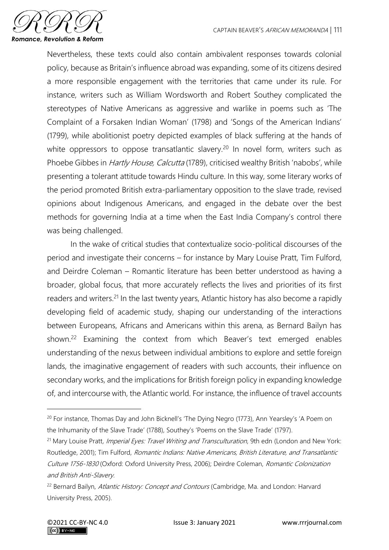

Nevertheless, these texts could also contain ambivalent responses towards colonial policy, because as Britain's influence abroad was expanding, some of its citizens desired a more responsible engagement with the territories that came under its rule. For instance, writers such as William Wordsworth and Robert Southey complicated the stereotypes of Native Americans as aggressive and warlike in poems such as 'The Complaint of a Forsaken Indian Woman' (1798) and 'Songs of the American Indians' (1799), while abolitionist poetry depicted examples of black suffering at the hands of white oppressors to oppose transatlantic slavery.<sup>20</sup> In novel form, writers such as Phoebe Gibbes in *Hartly House, Calcutta* (1789), criticised wealthy British 'nabobs', while presenting a tolerant attitude towards Hindu culture. In this way, some literary works of the period promoted British extra-parliamentary opposition to the slave trade, revised opinions about Indigenous Americans, and engaged in the debate over the best methods for governing India at a time when the East India Company's control there was being challenged.

In the wake of critical studies that contextualize socio-political discourses of the period and investigate their concerns – for instance by Mary Louise Pratt, Tim Fulford, and Deirdre Coleman – Romantic literature has been better understood as having a broader, global focus, that more accurately reflects the lives and priorities of its first readers and writers.<sup>21</sup> In the last twenty years, Atlantic history has also become a rapidly developing field of academic study, shaping our understanding of the interactions between Europeans, Africans and Americans within this arena, as Bernard Bailyn has shown.<sup>22</sup> Examining the context from which Beaver's text emerged enables understanding of the nexus between individual ambitions to explore and settle foreign lands, the imaginative engagement of readers with such accounts, their influence on secondary works, and the implications for British foreign policy in expanding knowledge of, and intercourse with, the Atlantic world. For instance, the influence of travel accounts

<sup>&</sup>lt;sup>20</sup> For instance, Thomas Day and John Bicknell's 'The Dying Negro (1773), Ann Yearsley's 'A Poem on the Inhumanity of the Slave Trade' (1788), Southey's 'Poems on the Slave Trade' (1797).

<sup>&</sup>lt;sup>21</sup> Mary Louise Pratt, *Imperial Eyes: Travel Writing and Transculturation*, 9th edn (London and New York: Routledge, 2001); Tim Fulford, Romantic Indians: Native Americans, British Literature, and Transatlantic Culture 1756-1830 (Oxford: Oxford University Press, 2006); Deirdre Coleman, [Romantic Colonization](https://www.amazon.co.uk/Romantic-Colonization-Anti-Slavery-Cambridge-Romanticism/dp/0521102715/ref=sr_1_4?dchild=1&keywords=deirdre+coleman&qid=1590844298&s=books&sr=1-4)  [and British Anti-Slavery.](https://www.amazon.co.uk/Romantic-Colonization-Anti-Slavery-Cambridge-Romanticism/dp/0521102715/ref=sr_1_4?dchild=1&keywords=deirdre+coleman&qid=1590844298&s=books&sr=1-4)

<sup>&</sup>lt;sup>22</sup> Bernard Bailyn, Atlantic History: Concept and Contours (Cambridge, Ma. and London: Harvard University Press, 2005).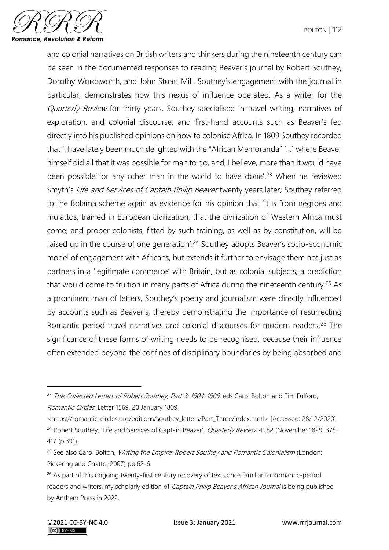

and colonial narratives on British writers and thinkers during the nineteenth century can be seen in the documented responses to reading Beaver's journal by Robert Southey, Dorothy Wordsworth, and John Stuart Mill. Southey's engagement with the journal in particular, demonstrates how this nexus of influence operated. As a writer for the Quarterly Review for thirty years, Southey specialised in travel-writing, narratives of exploration, and colonial discourse, and first-hand accounts such as Beaver's fed directly into his published opinions on how to colonise Africa. In 1809 Southey recorded that 'I have lately been much delighted with the "African Memoranda" […] where Beaver himself did all that it was possible for man to do, and, I believe, more than it would have been possible for any other man in the world to have done'.<sup>23</sup> When he reviewed Smyth's Life and Services of Captain Philip Beaver twenty years later, Southey referred to the Bolama scheme again as evidence for his opinion that 'it is from negroes and mulattos, trained in European civilization, that the civilization of Western Africa must come; and proper colonists, fitted by such training, as well as by constitution, will be raised up in the course of one generation'.<sup>24</sup> Southey adopts Beaver's socio-economic model of engagement with Africans, but extends it further to envisage them not just as partners in a 'legitimate commerce' with Britain, but as colonial subjects; a prediction that would come to fruition in many parts of Africa during the nineteenth century.<sup>25</sup> As a prominent man of letters, Southey's poetry and journalism were directly influenced by accounts such as Beaver's, thereby demonstrating the importance of resurrecting Romantic-period travel narratives and colonial discourses for modern readers.<sup>26</sup> The significance of these forms of writing needs to be recognised, because their influence often extended beyond the confines of disciplinary boundaries by being absorbed and

<https://romantic-circles.org/editions/southey\_letters/Part\_Three/index.html> [Accessed: 28/12/2020].

<sup>&</sup>lt;sup>23</sup> The Collected Letters of Robert Southey, Part 3: 1804-1809, eds Carol Bolton and Tim Fulford, Romantic Circles: Letter 1569, 20 January 1809

<sup>&</sup>lt;sup>24</sup> Robert Southey, 'Life and Services of Captain Beaver', *Quarterly Review*, 41.82 (November 1829, 375-417 (p.391).

 $25$  See also Carol Bolton, *Writing the Empire: Robert Southey and Romantic Colonialism* (London: Pickering and Chatto, 2007) pp.62-6.

<sup>&</sup>lt;sup>26</sup> As part of this ongoing twenty-first century recovery of texts once familiar to Romantic-period readers and writers, my scholarly edition of *Captain Philip Beaver's African Journal* is being published by Anthem Press in 2022.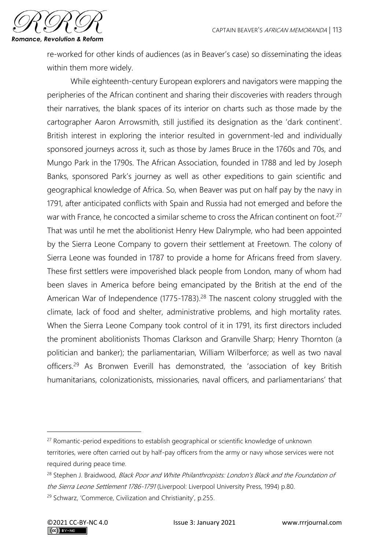

re-worked for other kinds of audiences (as in Beaver's case) so disseminating the ideas within them more widely.

While eighteenth-century European explorers and navigators were mapping the peripheries of the African continent and sharing their discoveries with readers through their narratives, the blank spaces of its interior on charts such as those made by the cartographer Aaron Arrowsmith, still justified its designation as the 'dark continent'. British interest in exploring the interior resulted in government-led and individually sponsored journeys across it, such as those by James Bruce in the 1760s and 70s, and Mungo Park in the 1790s. The African Association, founded in 1788 and led by Joseph Banks, sponsored Park's journey as well as other expeditions to gain scientific and geographical knowledge of Africa. So, when Beaver was put on half pay by the navy in 1791, after anticipated conflicts with Spain and Russia had not emerged and before the war with France, he concocted a similar scheme to cross the African continent on foot.<sup>27</sup> That was until he met the abolitionist Henry Hew Dalrymple, who had been appointed by the Sierra Leone Company to govern their settlement at Freetown. The colony of Sierra Leone was founded in 1787 to provide a home for Africans freed from slavery. These first settlers were impoverished black people from London, many of whom had been slaves in America before being emancipated by the British at the end of the American War of Independence (1775-1783).<sup>28</sup> The nascent colony struggled with the climate, lack of food and shelter, administrative problems, and high mortality rates. When the Sierra Leone Company took control of it in 1791, its first directors included the prominent abolitionists Thomas Clarkson and Granville Sharp; Henry Thornton (a politician and banker); the parliamentarian, William Wilberforce; as well as two naval officers.<sup>29</sup> As Bronwen Everill has demonstrated, the 'association of key British humanitarians, colonizationists, missionaries, naval officers, and parliamentarians' that

 $27$  Romantic-period expeditions to establish geographical or scientific knowledge of unknown territories, were often carried out by half-pay officers from the army or navy whose services were not required during peace time.

<sup>&</sup>lt;sup>28</sup> Stephen J. Braidwood, *Black Poor and White Philanthropists: London's Black and the Foundation of* [the Sierra Leone Settlement 1786-1791](https://www.amazon.co.uk/Black-Poor-White-Philanthropists-Foundation/dp/0853233772/ref=sr_1_1?dchild=1&keywords=9780853233770&linkCode=qs&qid=1601128668&s=books&sr=1-1) (Liverpool: Liverpool University Press, 1994) p.80.

<sup>29</sup> Schwarz, 'Commerce, Civilization and Christianity', p.255.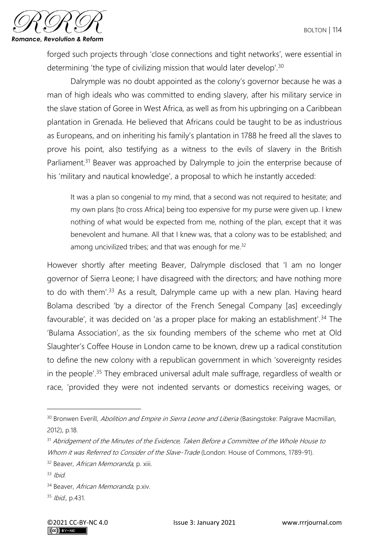

forged such projects through 'close connections and tight networks', were essential in determining 'the type of civilizing mission that would later develop'.<sup>30</sup>

Dalrymple was no doubt appointed as the colony's governor because he was a man of high ideals who was committed to ending slavery, after his military service in the slave station of Goree in West Africa, as well as from his upbringing on a Caribbean plantation in Grenada. He believed that Africans could be taught to be as industrious as Europeans, and on inheriting his family's plantation in 1788 he freed all the slaves to prove his point, also testifying as a witness to the evils of slavery in the British Parliament.<sup>31</sup> Beaver was approached by Dalrymple to join the enterprise because of his 'military and nautical knowledge', a proposal to which he instantly acceded:

It was a plan so congenial to my mind, that a second was not required to hesitate; and my own plans [to cross Africa] being too expensive for my purse were given up. I knew nothing of what would be expected from me, nothing of the plan, except that it was benevolent and humane. All that I knew was, that a colony was to be established; and among uncivilized tribes; and that was enough for me.<sup>32</sup>

However shortly after meeting Beaver, Dalrymple disclosed that 'I am no longer governor of Sierra Leone; I have disagreed with the directors; and have nothing more to do with them<sup>'33</sup> As a result, Dalrymple came up with a new plan. Having heard Bolama described 'by a director of the French Senegal Company [as] exceedingly favourable', it was decided on 'as a proper place for making an establishment'.<sup>34</sup> The 'Bulama Association', as the six founding members of the scheme who met at Old Slaughter's Coffee House in London came to be known, drew up a radical constitution to define the new colony with a republican government in which 'sovereignty resides in the people'.<sup>35</sup> They embraced universal adult male suffrage, regardless of wealth or race, 'provided they were not indented servants or domestics receiving wages, or

<sup>&</sup>lt;sup>30</sup> Bronwen Everill, *Abolition and Empire in Sierra Leone and Liberia* (Basingstoke: Palgrave Macmillan, 2012), p.18.

<sup>&</sup>lt;sup>31</sup> Abridgement of the Minutes of the Evidence, Taken Before a Committee of the Whole House to Whom it was Referred to Consider of the Slave-Trade (London: House of Commons, 1789-91).

<sup>&</sup>lt;sup>32</sup> Beaver, African Memoranda, p. xiii.

 $33$  Ibid.

<sup>34</sup> Beaver, African Memoranda, p.xiv.

<sup>35</sup> Ibid., p.431.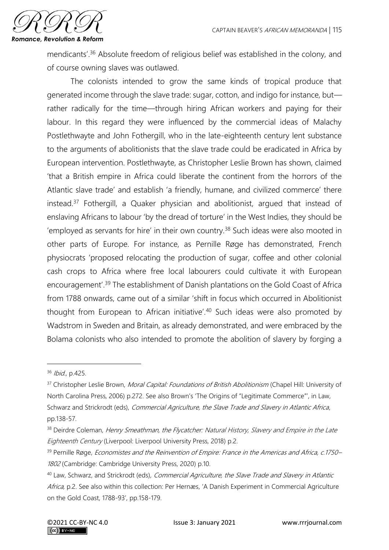

mendicants'.<sup>36</sup> Absolute freedom of religious belief was established in the colony, and of course owning slaves was outlawed.

The colonists intended to grow the same kinds of tropical produce that generated income through the slave trade: sugar, cotton, and indigo for instance, but rather radically for the time—through hiring African workers and paying for their labour. In this regard they were influenced by the commercial ideas of Malachy Postlethwayte and John Fothergill, who in the late-eighteenth century lent substance to the arguments of abolitionists that the slave trade could be eradicated in Africa by European intervention. Postlethwayte, as Christopher Leslie Brown has shown, claimed 'that a British empire in Africa could liberate the continent from the horrors of the Atlantic slave trade' and establish 'a friendly, humane, and civilized commerce' there instead.<sup>37</sup> Fothergill, a Quaker physician and abolitionist, argued that instead of enslaving Africans to labour 'by the dread of torture' in the West Indies, they should be 'employed as servants for hire' in their own country.<sup>38</sup> Such ideas were also mooted in other parts of Europe. For instance, as Pernille Røge has demonstrated, French physiocrats 'proposed relocating the production of sugar, coffee and other colonial cash crops to Africa where free local labourers could cultivate it with European encouragement'.<sup>39</sup> The establishment of Danish plantations on the Gold Coast of Africa from 1788 onwards, came out of a similar 'shift in focus which occurred in Abolitionist thought from European to African initiative'.<sup>40</sup> Such ideas were also promoted by Wadstrom in Sweden and Britain, as already demonstrated, and were embraced by the Bolama colonists who also intended to promote the abolition of slavery by forging a

 $36$  Ibid., p.425.

<sup>&</sup>lt;sup>37</sup> Christopher Leslie Brown, *Moral Capital: Foundations of British Abolitionism* (Chapel Hill: University of North Carolina Press, 2006) p.272. See also Brown's 'The Origins of "Legitimate Commerce"', in Law, Schwarz and Strickrodt (eds), Commercial Agriculture, the Slave Trade and Slavery in Atlantic Africa, pp.138-57.

<sup>38</sup> Deirdre Coleman, Henry Smeathman, the Flycatcher: Natural History, Slavery and Empire in the Late Eighteenth Century (Liverpool: Liverpool University Press, 2018) p.2.

<sup>&</sup>lt;sup>39</sup> Pernille Røge, *Economistes and the Reinvention of Empire: France in the Americas and Africa, c.1750–* 1802 (Cambridge: Cambridge University Press, 2020) p.10.

<sup>&</sup>lt;sup>40</sup> Law, Schwarz, and Strickrodt (eds), Commercial Agriculture, the Slave Trade and Slavery in Atlantic Africa, p.2. See also within this collection: Per Hernæs, 'A Danish Experiment in Commercial Agriculture on the Gold Coast, 1788-93', pp.158-179.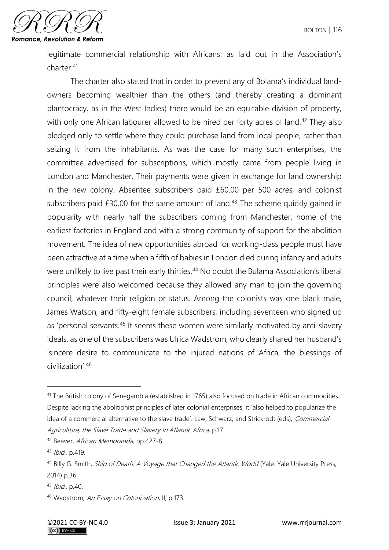

legitimate commercial relationship with Africans: as laid out in the Association's charter.<sup>41</sup>

The charter also stated that in order to prevent any of Bolama's individual landowners becoming wealthier than the others (and thereby creating a dominant plantocracy, as in the West Indies) there would be an equitable division of property, with only one African labourer allowed to be hired per forty acres of land.<sup>42</sup> They also pledged only to settle where they could purchase land from local people, rather than seizing it from the inhabitants. As was the case for many such enterprises, the committee advertised for subscriptions, which mostly came from people living in London and Manchester. Their payments were given in exchange for land ownership in the new colony. Absentee subscribers paid £60.00 per 500 acres, and colonist subscribers paid £30.00 for the same amount of land.<sup>43</sup> The scheme quickly gained in popularity with nearly half the subscribers coming from Manchester, home of the earliest factories in England and with a strong community of support for the abolition movement. The idea of new opportunities abroad for working-class people must have been attractive at a time when a fifth of babies in London died during infancy and adults were unlikely to live past their early thirties.<sup>44</sup> No doubt the Bulama Association's liberal principles were also welcomed because they allowed any man to join the governing council, whatever their religion or status. Among the colonists was one black male, James Watson, and fifty-eight female subscribers, including seventeen who signed up as 'personal servants.<sup>45</sup> It seems these women were similarly motivated by anti-slavery ideals, as one of the subscribers was Ulrica Wadstrom, who clearly shared her husband's 'sincere desire to communicate to the injured nations of Africa, the blessings of civilization'.<sup>46</sup>

<sup>&</sup>lt;sup>41</sup> The British colony of Senegambia (established in 1765) also focused on trade in African commodities. Despite lacking the abolitionist principles of later colonial enterprises, it 'also helped to popularize the idea of a commercial alternative to the slave trade'. Law, Schwarz, and Strickrodt (eds), Commercial Agriculture, the Slave Trade and Slavery in Atlantic Africa, p.17.

<sup>42</sup> Beaver, African Memoranda, pp.427-8.

<sup>43</sup> Ibid., p.419.

<sup>&</sup>lt;sup>44</sup> Billy G. Smith, *Ship of Death: A Voyage that Changed the Atlantic World* (Yale: Yale University Press, 2014) p.36.

<sup>45</sup> Ibid., p.40.

<sup>46</sup> Wadstrom, An Essay on Colonization, II, p.173.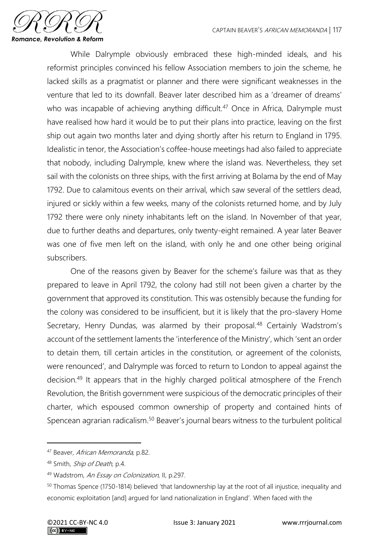

While Dalrymple obviously embraced these high-minded ideals, and his reformist principles convinced his fellow Association members to join the scheme, he lacked skills as a pragmatist or planner and there were significant weaknesses in the venture that led to its downfall. Beaver later described him as a 'dreamer of dreams' who was incapable of achieving anything difficult.<sup>47</sup> Once in Africa, Dalrymple must have realised how hard it would be to put their plans into practice, leaving on the first ship out again two months later and dying shortly after his return to England in 1795. Idealistic in tenor, the Association's coffee-house meetings had also failed to appreciate that nobody, including Dalrymple, knew where the island was. Nevertheless, they set sail with the colonists on three ships, with the first arriving at Bolama by the end of May 1792. Due to calamitous events on their arrival, which saw several of the settlers dead, injured or sickly within a few weeks, many of the colonists returned home, and by July 1792 there were only ninety inhabitants left on the island. In November of that year, due to further deaths and departures, only twenty-eight remained. A year later Beaver was one of five men left on the island, with only he and one other being original subscribers.

One of the reasons given by Beaver for the scheme's failure was that as they prepared to leave in April 1792, the colony had still not been given a charter by the government that approved its constitution. This was ostensibly because the funding for the colony was considered to be insufficient, but it is likely that the pro-slavery Home Secretary, Henry Dundas, was alarmed by their proposal.<sup>48</sup> Certainly Wadstrom's account of the settlement laments the 'interference of the Ministry', which 'sent an order to detain them, till certain articles in the constitution, or agreement of the colonists, were renounced', and Dalrymple was forced to return to London to appeal against the decision.<sup>49</sup> It appears that in the highly charged political atmosphere of the French Revolution, the British government were suspicious of the democratic principles of their charter, which espoused common ownership of property and contained hints of Spencean agrarian radicalism.<sup>50</sup> Beaver's journal bears witness to the turbulent political

<sup>&</sup>lt;sup>47</sup> Beaver, African Memoranda, p.82.

<sup>48</sup> Smith, Ship of Death, p.4.

<sup>49</sup> Wadstrom, An Essay on Colonization, II, p.297.

<sup>50</sup> Thomas Spence (1750-1814) believed 'that landownership lay at the root of all injustice, inequality and economic exploitation [and] argued for land nationalization in England'. When faced with the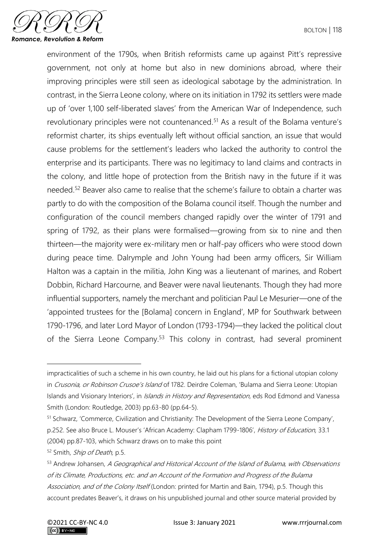

environment of the 1790s, when British reformists came up against Pitt's repressive government, not only at home but also in new dominions abroad, where their improving principles were still seen as ideological sabotage by the administration. In contrast, in the Sierra Leone colony, where on its initiation in 1792 its settlers were made up of 'over 1,100 self-liberated slaves' from the American War of Independence, such revolutionary principles were not countenanced.<sup>51</sup> As a result of the Bolama venture's reformist charter, its ships eventually left without official sanction, an issue that would cause problems for the settlement's leaders who lacked the authority to control the enterprise and its participants. There was no legitimacy to land claims and contracts in the colony, and little hope of protection from the British navy in the future if it was needed.<sup>52</sup> Beaver also came to realise that the scheme's failure to obtain a charter was partly to do with the composition of the Bolama council itself. Though the number and configuration of the council members changed rapidly over the winter of 1791 and spring of 1792, as their plans were formalised—growing from six to nine and then thirteen—the majority were ex-military men or half-pay officers who were stood down during peace time. Dalrymple and John Young had been army officers, Sir William Halton was a captain in the militia, John King was a lieutenant of marines, and Robert Dobbin, Richard Harcourne, and Beaver were naval lieutenants. Though they had more influential supporters, namely the merchant and politician Paul Le Mesurier—one of the 'appointed trustees for the [Bolama] concern in England', MP for Southwark between 1790-1796, and later Lord Mayor of London (1793-1794)—they lacked the political clout of the Sierra Leone Company.<sup>53</sup> This colony in contrast, had several prominent

<sup>52</sup> Smith, *Ship of Death*, p.5.

impracticalities of such a scheme in his own country, he laid out his plans for a fictional utopian colony in Crusonia, or Robinson Crusoe's Island of 1782. Deirdre Coleman, 'Bulama and Sierra Leone: Utopian Islands and Visionary Interiors', in Islands in History and Representation, eds Rod Edmond and Vanessa Smith (London: Routledge, 2003) pp.63-80 (pp.64-5).

<sup>51</sup> Schwarz, 'Commerce, Civilization and Christianity: The Development of the Sierra Leone Company', p.252. See also Bruce L. Mouser's 'African Academy: Clapham 1799-1806', History of Education, 33.1 (2004) pp.87-103, which Schwarz draws on to make this point

<sup>53</sup> Andrew Johansen, A Geographical and Historical Account of the Island of Bulama, with Observations of its Climate, Productions, etc. and an Account of the Formation and Progress of the Bulama Association, and of the Colony Itself (London: printed for Martin and Bain, 1794), p.5. Though this account predates Beaver's, it draws on his unpublished journal and other source material provided by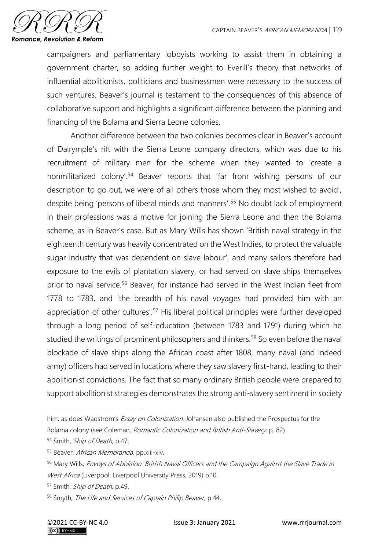

campaigners and parliamentary lobbyists working to assist them in obtaining a government charter, so adding further weight to Everill's theory that networks of influential abolitionists, politicians and businessmen were necessary to the success of such ventures. Beaver's journal is testament to the consequences of this absence of collaborative support and highlights a significant difference between the planning and financing of the Bolama and Sierra Leone colonies.

Another difference between the two colonies becomes clear in Beaver's account of Dalrymple's rift with the Sierra Leone company directors, which was due to his recruitment of military men for the scheme when they wanted to 'create a nonmilitarized colony'.<sup>54</sup> Beaver reports that 'far from wishing persons of our description to go out, we were of all others those whom they most wished to avoid', despite being 'persons of liberal minds and manners'.<sup>55</sup> No doubt lack of employment in their professions was a motive for joining the Sierra Leone and then the Bolama scheme, as in Beaver's case. But as Mary Wills has shown 'British naval strategy in the eighteenth century was heavily concentrated on the West Indies, to protect the valuable sugar industry that was dependent on slave labour', and many sailors therefore had exposure to the evils of plantation slavery, or had served on slave ships themselves prior to naval service.<sup>56</sup> Beaver, for instance had served in the West Indian fleet from 1778 to 1783, and 'the breadth of his naval voyages had provided him with an appreciation of other cultures'.<sup>57</sup> His liberal political principles were further developed through a long period of self-education (between 1783 and 1791) during which he studied the writings of prominent philosophers and thinkers.<sup>58</sup> So even before the naval blockade of slave ships along the African coast after 1808, many naval (and indeed army) officers had served in locations where they saw slavery first-hand, leading to their abolitionist convictions. The fact that so many ordinary British people were prepared to support abolitionist strategies demonstrates the strong anti-slavery sentiment in society

him, as does Wadstrom's *Essay on Colonization*. Johansen also published the Prospectus for the Bolama colony (see Coleman, [Romantic Colonization and British Anti-Slavery,](https://www.amazon.co.uk/Romantic-Colonization-Anti-Slavery-Cambridge-Romanticism/dp/0521102715/ref=sr_1_4?dchild=1&keywords=deirdre+coleman&qid=1590844298&s=books&sr=1-4) p. 82).

<sup>54</sup> Smith, Ship of Death, p.47.

<sup>55</sup> Beaver, African Memoranda, pp.xiii-xiv.

<sup>56</sup> Mary Wills, Envoys of Abolition: British Naval Officers and the Campaign Against the Slave Trade in West Africa (Liverpool: Liverpool University Press, 2019) p.10.

<sup>&</sup>lt;sup>57</sup> Smith, *Ship of Death*, p.49.

<sup>58</sup> Smyth, The Life and Services of Captain Philip Beaver, p.44.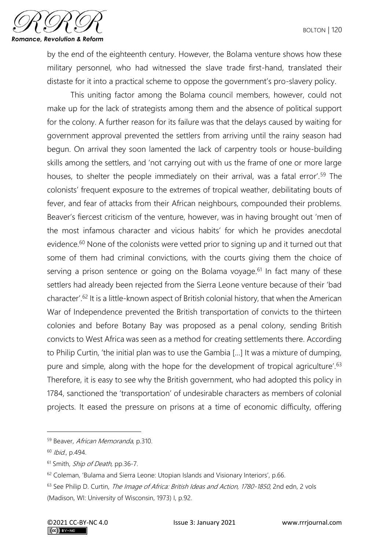

by the end of the eighteenth century. However, the Bolama venture shows how these military personnel, who had witnessed the slave trade first-hand, translated their distaste for it into a practical scheme to oppose the government's pro-slavery policy.

This uniting factor among the Bolama council members, however, could not make up for the lack of strategists among them and the absence of political support for the colony. A further reason for its failure was that the delays caused by waiting for government approval prevented the settlers from arriving until the rainy season had begun. On arrival they soon lamented the lack of carpentry tools or house-building skills among the settlers, and 'not carrying out with us the frame of one or more large houses, to shelter the people immediately on their arrival, was a fatal error'.<sup>59</sup> The colonists' frequent exposure to the extremes of tropical weather, debilitating bouts of fever, and fear of attacks from their African neighbours, compounded their problems. Beaver's fiercest criticism of the venture, however, was in having brought out 'men of the most infamous character and vicious habits' for which he provides anecdotal evidence.<sup>60</sup> None of the colonists were vetted prior to signing up and it turned out that some of them had criminal convictions, with the courts giving them the choice of serving a prison sentence or going on the Bolama voyage.<sup>61</sup> In fact many of these settlers had already been rejected from the Sierra Leone venture because of their 'bad character'.<sup>62</sup> It is a little-known aspect of British colonial history, that when the American War of Independence prevented the British transportation of convicts to the thirteen colonies and before Botany Bay was proposed as a penal colony, sending British convicts to West Africa was seen as a method for creating settlements there. According to Philip Curtin, 'the initial plan was to use the Gambia […] It was a mixture of dumping, pure and simple, along with the hope for the development of tropical agriculture'.<sup>63</sup> Therefore, it is easy to see why the British government, who had adopted this policy in 1784, sanctioned the 'transportation' of undesirable characters as members of colonial projects. It eased the pressure on prisons at a time of economic difficulty, offering

<sup>59</sup> Beaver, African Memoranda, p.310.

<sup>60</sup> Ibid., p.494.

<sup>&</sup>lt;sup>61</sup> Smith, *Ship of Death*, pp.36-7.

<sup>62</sup> Coleman, 'Bulama and Sierra Leone: Utopian Islands and Visionary Interiors', p.66.

<sup>&</sup>lt;sup>63</sup> See Philip D. Curtin, *The Image of Africa: British Ideas and Action, 1780-1850*, 2nd edn, 2 vols (Madison, WI: University of Wisconsin, 1973) I, p.92.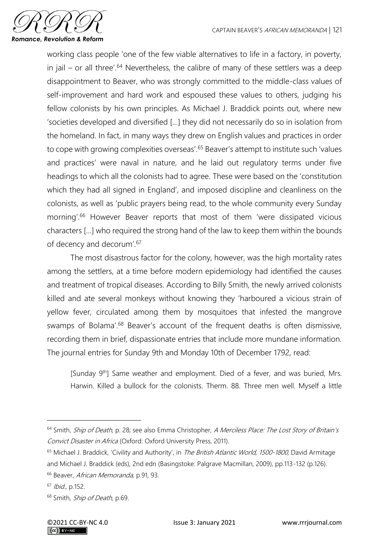

working class people 'one of the few viable alternatives to life in a factory, in poverty, in jail – or all three'.<sup>64</sup> Nevertheless, the calibre of many of these settlers was a deep disappointment to Beaver, who was strongly committed to the middle-class values of self-improvement and hard work and espoused these values to others, judging his fellow colonists by his own principles. As Michael J. Braddick points out, where new 'societies developed and diversified […] they did not necessarily do so in isolation from the homeland. In fact, in many ways they drew on English values and practices in order to cope with growing complexities overseas'.<sup>65</sup> Beaver's attempt to institute such 'values and practices' were naval in nature, and he laid out regulatory terms under five headings to which all the colonists had to agree. These were based on the 'constitution which they had all signed in England', and imposed discipline and cleanliness on the colonists, as well as 'public prayers being read, to the whole community every Sunday morning'.<sup>66</sup> However Beaver reports that most of them 'were dissipated vicious characters […] who required the strong hand of the law to keep them within the bounds of decency and decorum'.<sup>67</sup>

The most disastrous factor for the colony, however, was the high mortality rates among the settlers, at a time before modern epidemiology had identified the causes and treatment of tropical diseases. According to Billy Smith, the newly arrived colonists killed and ate several monkeys without knowing they 'harboured a vicious strain of yellow fever, circulated among them by mosquitoes that infested the mangrove swamps of Bolama'.<sup>68</sup> Beaver's account of the frequent deaths is often dismissive, recording them in brief, dispassionate entries that include more mundane information. The journal entries for Sunday 9th and Monday 10th of December 1792, read:

[Sunday 9<sup>th</sup>] Same weather and employment. Died of a fever, and was buried, Mrs. Harwin. Killed a bullock for the colonists. Therm. 88. Three men well. Myself a little

<sup>&</sup>lt;sup>64</sup> Smith, Ship of Death, p. 28; see also Emma Christopher, A Merciless Place: The Lost Story of Britain's Convict Disaster in Africa (Oxford: Oxford University Press, 2011).

<sup>&</sup>lt;sup>65</sup> Michael J. Braddick, 'Civility and Authority', in The British Atlantic World, 1500-1800, David Armitage and Michael J. Braddick (eds), 2nd edn (Basingstoke: Palgrave Macmillan, 2009), pp.113-132 (p.126).

<sup>&</sup>lt;sup>66</sup> Beaver, African Memoranda, p.91, 93.

<sup>67</sup> Ibid., p.152.

<sup>&</sup>lt;sup>68</sup> Smith, *Ship of Death*, p.69.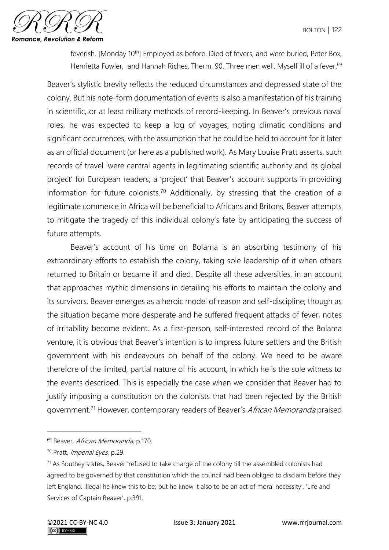

feverish. [Monday 10<sup>th</sup>] Employed as before. Died of fevers, and were buried, Peter Box, Henrietta Fowler, and Hannah Riches. Therm. 90. Three men well. Myself ill of a fever.<sup>69</sup>

Beaver's stylistic brevity reflects the reduced circumstances and depressed state of the colony. But his note-form documentation of events is also a manifestation of his training in scientific, or at least military methods of record-keeping. In Beaver's previous naval roles, he was expected to keep a log of voyages, noting climatic conditions and significant occurrences, with the assumption that he could be held to account for it later as an official document (or here as a published work). As Mary Louise Pratt asserts, such records of travel 'were central agents in legitimating scientific authority and its global project' for European readers; a 'project' that Beaver's account supports in providing information for future colonists.<sup>70</sup> Additionally, by stressing that the creation of a legitimate commerce in Africa will be beneficial to Africans and Britons, Beaver attempts to mitigate the tragedy of this individual colony's fate by anticipating the success of future attempts.

Beaver's account of his time on Bolama is an absorbing testimony of his extraordinary efforts to establish the colony, taking sole leadership of it when others returned to Britain or became ill and died. Despite all these adversities, in an account that approaches mythic dimensions in detailing his efforts to maintain the colony and its survivors, Beaver emerges as a heroic model of reason and self-discipline; though as the situation became more desperate and he suffered frequent attacks of fever, notes of irritability become evident. As a first-person, self-interested record of the Bolama venture, it is obvious that Beaver's intention is to impress future settlers and the British government with his endeavours on behalf of the colony. We need to be aware therefore of the limited, partial nature of his account, in which he is the sole witness to the events described. This is especially the case when we consider that Beaver had to justify imposing a constitution on the colonists that had been rejected by the British government.<sup>71</sup> However, contemporary readers of Beaver's African Memoranda praised

<sup>&</sup>lt;sup>69</sup> Beaver, African Memoranda, p.170.

<sup>70</sup> Pratt, Imperial Eyes, p.29.

 $71$  As Southey states, Beaver 'refused to take charge of the colony till the assembled colonists had agreed to be governed by that constitution which the council had been obliged to disclaim before they left England. Illegal he knew this to be; but he knew it also to be an act of moral necessity', 'Life and Services of Captain Beaver', p.391.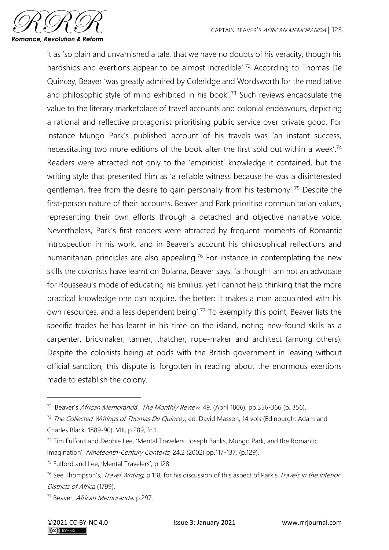

it as 'so plain and unvarnished a tale, that we have no doubts of his veracity, though his hardships and exertions appear to be almost incredible'.<sup>72</sup> According to Thomas De Quincey, Beaver 'was greatly admired by Coleridge and Wordsworth for the meditative and philosophic style of mind exhibited in his book'.<sup>73</sup> Such reviews encapsulate the value to the literary marketplace of travel accounts and colonial endeavours, depicting a rational and reflective protagonist prioritising public service over private good. For instance Mungo Park's published account of his travels was 'an instant success, necessitating two more editions of the book after the first sold out within a week'.<sup>74</sup> Readers were attracted not only to the 'empiricist' knowledge it contained, but the writing style that presented him as 'a reliable witness because he was a disinterested gentleman, free from the desire to gain personally from his testimony'.<sup>75</sup> Despite the first-person nature of their accounts, Beaver and Park prioritise communitarian values, representing their own efforts through a detached and objective narrative voice. Nevertheless, Park's first readers were attracted by frequent moments of Romantic introspection in his work, and in Beaver's account his philosophical reflections and humanitarian principles are also appealing.<sup>76</sup> For instance in contemplating the new skills the colonists have learnt on Bolama, Beaver says, 'although I am not an advocate for Rousseau's mode of educating his Emilius, yet I cannot help thinking that the more practical knowledge one can acquire, the better: it makes a man acquainted with his own resources, and a less dependent being'.<sup>77</sup> To exemplify this point, Beaver lists the specific trades he has learnt in his time on the island, noting new-found skills as a carpenter, brickmaker, tanner, thatcher, rope-maker and architect (among others). Despite the colonists being at odds with the British government in leaving without official sanction, this dispute is forgotten in reading about the enormous exertions made to establish the colony.

<sup>&</sup>lt;sup>72</sup> 'Beaver's African Memoranda', The Monthly Review, 49, (April 1806), pp.356-366 (p. 356).

<sup>&</sup>lt;sup>73</sup> The Collected Writings of Thomas De Quincey, ed. David Masson, 14 vols (Edinburgh: Adam and Charles Black, 1889-90), VIII, p.289, fn.1.

<sup>&</sup>lt;sup>74</sup> Tim Fulford and Debbie Lee, 'Mental Travelers: Joseph Banks, Mungo Park, and the Romantic Imagination', Nineteenth-Century Contexts, 24.2 (2002) pp.117-137, (p.129).

<sup>75</sup> Fulford and Lee, 'Mental Travelers', p.128.

<sup>&</sup>lt;sup>76</sup> See Thompson's, *Travel Writing*, p.118, for his discussion of this aspect of Park's *Travels in the Interior* Districts of Africa (1799).

<sup>77</sup> Beaver, African Memoranda, p.297.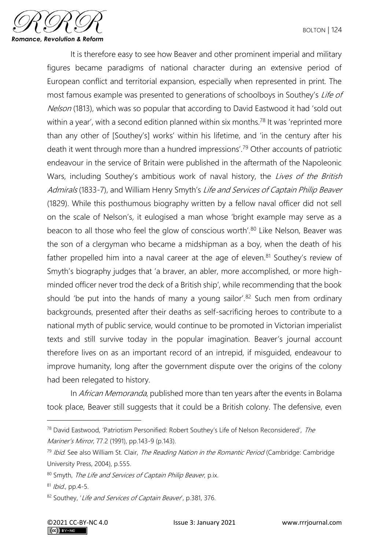

It is therefore easy to see how Beaver and other prominent imperial and military figures became paradigms of national character during an extensive period of European conflict and territorial expansion, especially when represented in print. The most famous example was presented to generations of schoolboys in Southey's Life of Nelson (1813), which was so popular that according to David Eastwood it had 'sold out within a year', with a second edition planned within six months.<sup>78</sup> It was 'reprinted more than any other of [Southey's] works' within his lifetime, and 'in the century after his death it went through more than a hundred impressions'.<sup>79</sup> Other accounts of patriotic endeavour in the service of Britain were published in the aftermath of the Napoleonic Wars, including Southey's ambitious work of naval history, the Lives of the British Admirals (1833-7), and William Henry Smyth's Life and Services of Captain Philip Beaver (1829). While this posthumous biography written by a fellow naval officer did not sell on the scale of Nelson's, it eulogised a man whose 'bright example may serve as a beacon to all those who feel the glow of conscious worth'.<sup>80</sup> Like Nelson, Beaver was the son of a clergyman who became a midshipman as a boy, when the death of his father propelled him into a naval career at the age of eleven.<sup>81</sup> Southey's review of Smyth's biography judges that 'a braver, an abler, more accomplished, or more highminded officer never trod the deck of a British ship', while recommending that the book should 'be put into the hands of many a young sailor'.<sup>82</sup> Such men from ordinary backgrounds, presented after their deaths as self-sacrificing heroes to contribute to a national myth of public service, would continue to be promoted in Victorian imperialist texts and still survive today in the popular imagination. Beaver's journal account therefore lives on as an important record of an intrepid, if misguided, endeavour to improve humanity, long after the government dispute over the origins of the colony had been relegated to history.

In African Memoranda, published more than ten years after the events in Bolama took place, Beaver still suggests that it could be a British colony. The defensive, even

<sup>&</sup>lt;sup>78</sup> David Eastwood, 'Patriotism Personified: Robert Southey's Life of Nelson Reconsidered', The Mariner's Mirror, 77.2 (1991), pp.143-9 (p.143).

 $^{79}$  Ibid. See also William St. Clair, The Reading Nation in the Romantic Period (Cambridge: Cambridge University Press, 2004), p.555.

<sup>80</sup> Smyth, The Life and Services of Captain Philip Beaver, p.ix.

<sup>81</sup> Ibid., pp.4-5.

<sup>82</sup> Southey, 'Life and Services of Captain Beaver', p.381, 376.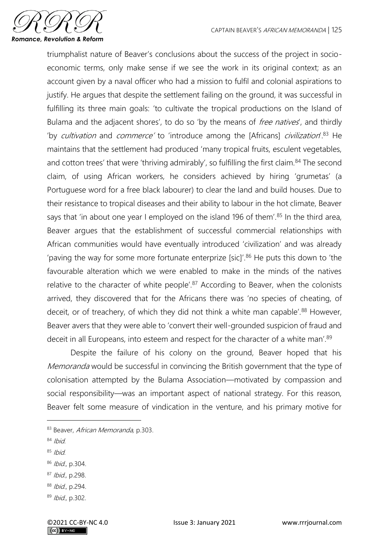

triumphalist nature of Beaver's conclusions about the success of the project in socioeconomic terms, only make sense if we see the work in its original context; as an account given by a naval officer who had a mission to fulfil and colonial aspirations to justify. He argues that despite the settlement failing on the ground, it was successful in fulfilling its three main goals: 'to cultivate the tropical productions on the Island of Bulama and the adjacent shores', to do so 'by the means of *free natives'*, and thirdly 'by cultivation and commerce' to 'introduce among the [Africans] civilization'.<sup>83</sup> He maintains that the settlement had produced 'many tropical fruits, esculent vegetables, and cotton trees' that were 'thriving admirably', so fulfilling the first claim.<sup>84</sup> The second claim, of using African workers, he considers achieved by hiring 'grumetas' (a Portuguese word for a free black labourer) to clear the land and build houses. Due to their resistance to tropical diseases and their ability to labour in the hot climate, Beaver says that 'in about one year I employed on the island 196 of them'.<sup>85</sup> In the third area, Beaver argues that the establishment of successful commercial relationships with African communities would have eventually introduced 'civilization' and was already 'paving the way for some more fortunate enterprize [sic]'. $86$  He puts this down to 'the favourable alteration which we were enabled to make in the minds of the natives relative to the character of white people'. $87$  According to Beaver, when the colonists arrived, they discovered that for the Africans there was 'no species of cheating, of deceit, or of treachery, of which they did not think a white man capable'.<sup>88</sup> However, Beaver avers that they were able to 'convert their well-grounded suspicion of fraud and deceit in all Europeans, into esteem and respect for the character of a white man'.<sup>89</sup>

Despite the failure of his colony on the ground, Beaver hoped that his Memoranda would be successful in convincing the British government that the type of colonisation attempted by the Bulama Association—motivated by compassion and social responsibility—was an important aspect of national strategy. For this reason, Beaver felt some measure of vindication in the venture, and his primary motive for

- $85$  Ibid.
- <sup>86</sup> Ibid., p.304.
- <sup>87</sup> Ibid., p.298.
- <sup>88</sup> Ibid., p.294.
- <sup>89</sup> Ibid., p.302.

<sup>83</sup> Beaver, African Memoranda, p.303.

 $84$  Ibid.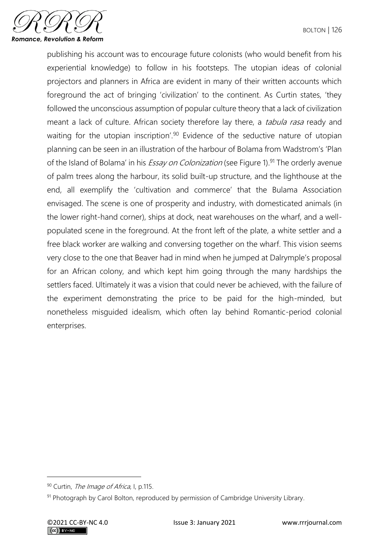

publishing his account was to encourage future colonists (who would benefit from his experiential knowledge) to follow in his footsteps. The utopian ideas of colonial projectors and planners in Africa are evident in many of their written accounts which foreground the act of bringing 'civilization' to the continent. As Curtin states, 'they followed the unconscious assumption of popular culture theory that a lack of civilization meant a lack of culture. African society therefore lay there, a *tabula rasa* ready and waiting for the utopian inscription'.<sup>90</sup> Evidence of the seductive nature of utopian planning can be seen in an illustration of the harbour of Bolama from Wadstrom's 'Plan of the Island of Bolama' in his *Essay on Colonization* (see Figure 1).<sup>91</sup> The orderly avenue of palm trees along the harbour, its solid built-up structure, and the lighthouse at the end, all exemplify the 'cultivation and commerce' that the Bulama Association envisaged. The scene is one of prosperity and industry, with domesticated animals (in the lower right-hand corner), ships at dock, neat warehouses on the wharf, and a wellpopulated scene in the foreground. At the front left of the plate, a white settler and a free black worker are walking and conversing together on the wharf. This vision seems very close to the one that Beaver had in mind when he jumped at Dalrymple's proposal for an African colony, and which kept him going through the many hardships the settlers faced. Ultimately it was a vision that could never be achieved, with the failure of the experiment demonstrating the price to be paid for the high-minded, but nonetheless misguided idealism, which often lay behind Romantic-period colonial enterprises.

<sup>90</sup> Curtin, The Image of Africa, I, p.115.

<sup>91</sup> Photograph by Carol Bolton, reproduced by permission of Cambridge University Library.